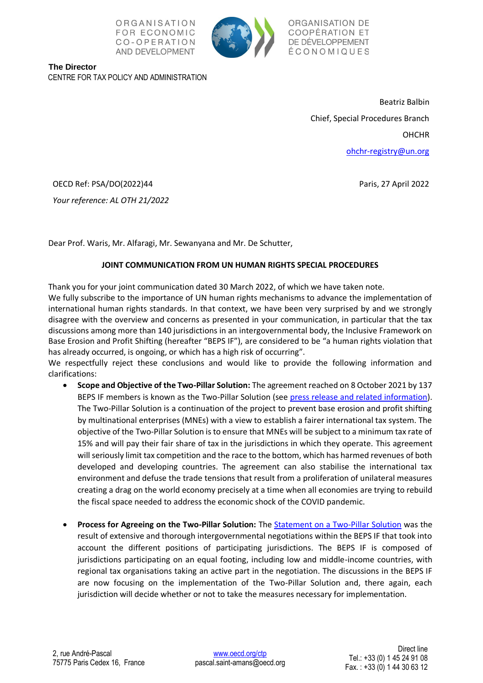



ORGANISATION DE COOPÉRATION ET DE DÉVELOPPEMENT ÉCONOMIQUES

**The Director** CENTRE FOR TAX POLICY AND ADMINISTRATION

> Beatriz Balbin Chief, Special Procedures Branch **OHCHR** [ohchr-registry@un.org](mailto:ohchr-registry@un.org)

> > Paris, 27 April 2022

OECD Ref: PSA/DO(2022)44

*Your reference: AL OTH 21/2022*

Dear Prof. Waris, Mr. Alfaragi, Mr. Sewanyana and Mr. De Schutter,

## **JOINT COMMUNICATION FROM UN HUMAN RIGHTS SPECIAL PROCEDURES**

Thank you for your joint communication dated 30 March 2022, of which we have taken note. We fully subscribe to the importance of UN human rights mechanisms to advance the implementation of

international human rights standards. In that context, we have been very surprised by and we strongly disagree with the overview and concerns as presented in your communication, in particular that the tax discussions among more than 140 jurisdictions in an intergovernmental body, the Inclusive Framework on Base Erosion and Profit Shifting (hereafter "BEPS IF"), are considered to be "a human rights violation that has already occurred, is ongoing, or which has a high risk of occurring".

We respectfully reject these conclusions and would like to provide the following information and clarifications:

- **Scope and Objective of the Two-Pillar Solution:** The agreement reached on 8 October 2021 by 137 BEPS IF members is known as the Two-Pillar Solution (see [press release and related information\)](https://www.oecd.org/tax/beps/international-community-strikes-a-ground-breaking-tax-deal-for-the-digital-age.htm). The Two-Pillar Solution is a continuation of the project to prevent base erosion and profit shifting by multinational enterprises (MNEs) with a view to establish a fairer international tax system. The objective of the Two-Pillar Solution is to ensure that MNEs will be subject to a minimum tax rate of 15% and will pay their fair share of tax in the jurisdictions in which they operate. This agreement will seriously limit tax competition and the race to the bottom, which has harmed revenues of both developed and developing countries. The agreement can also stabilise the international tax environment and defuse the trade tensions that result from a proliferation of unilateral measures creating a drag on the world economy precisely at a time when all economies are trying to rebuild the fiscal space needed to address the economic shock of the COVID pandemic.
- **Process for Agreeing on the Two-Pillar Solution:** The [Statement on a Two-Pillar Solution](https://www.oecd.org/tax/beps/statement-on-a-two-pillar-solution-to-address-the-tax-challenges-arising-from-the-digitalisation-of-the-economy-october-2021.htm) was the result of extensive and thorough intergovernmental negotiations within the BEPS IF that took into account the different positions of participating jurisdictions. The BEPS IF is composed of jurisdictions participating on an equal footing, including low and middle-income countries, with regional tax organisations taking an active part in the negotiation. The discussions in the BEPS IF are now focusing on the implementation of the Two-Pillar Solution and, there again, each jurisdiction will decide whether or not to take the measures necessary for implementation.